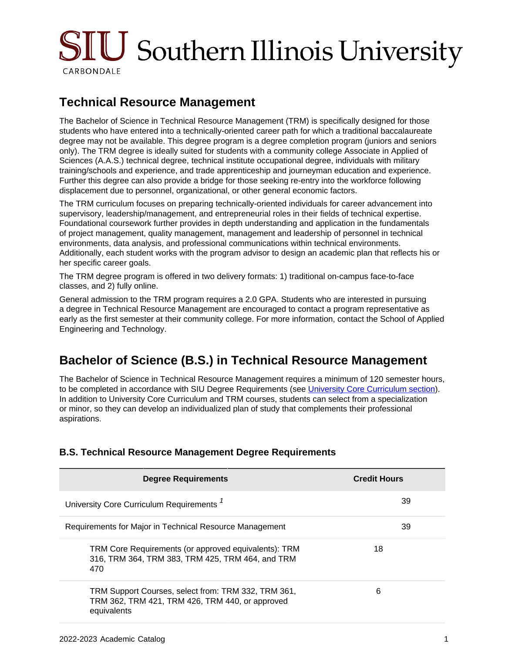# SIU Southern Illinois University CARBONDALE

## **Technical Resource Management**

The Bachelor of Science in Technical Resource Management (TRM) is specifically designed for those students who have entered into a technically-oriented career path for which a traditional baccalaureate degree may not be available. This degree program is a degree completion program (juniors and seniors only). The TRM degree is ideally suited for students with a community college Associate in Applied of Sciences (A.A.S.) technical degree, technical institute occupational degree, individuals with military training/schools and experience, and trade apprenticeship and journeyman education and experience. Further this degree can also provide a bridge for those seeking re-entry into the workforce following displacement due to personnel, organizational, or other general economic factors.

The TRM curriculum focuses on preparing technically-oriented individuals for career advancement into supervisory, leadership/management, and entrepreneurial roles in their fields of technical expertise. Foundational coursework further provides in depth understanding and application in the fundamentals of project management, quality management, management and leadership of personnel in technical environments, data analysis, and professional communications within technical environments. Additionally, each student works with the program advisor to design an academic plan that reflects his or her specific career goals.

The TRM degree program is offered in two delivery formats: 1) traditional on-campus face-to-face classes, and 2) fully online.

General admission to the TRM program requires a 2.0 GPA. Students who are interested in pursuing a degree in Technical Resource Management are encouraged to contact a program representative as early as the first semester at their community college. For more information, contact the School of Applied Engineering and Technology.

## **Bachelor of Science (B.S.) in Technical Resource Management**

The Bachelor of Science in Technical Resource Management requires a minimum of 120 semester hours, to be completed in accordance with SIU Degree Requirements (see [University Core Curriculum section\)](site://Undergraduate Catalog 22-23/core-curriculum/index). In addition to University Core Curriculum and TRM courses, students can select from a specialization or minor, so they can develop an individualized plan of study that complements their professional aspirations.

| <b>Degree Requirements</b>                                                                                            | <b>Credit Hours</b> |
|-----------------------------------------------------------------------------------------------------------------------|---------------------|
| University Core Curriculum Requirements <sup>7</sup>                                                                  | 39                  |
| Requirements for Major in Technical Resource Management                                                               | 39                  |
| TRM Core Requirements (or approved equivalents): TRM<br>316, TRM 364, TRM 383, TRM 425, TRM 464, and TRM<br>470       | 18                  |
| TRM Support Courses, select from: TRM 332, TRM 361,<br>TRM 362, TRM 421, TRM 426, TRM 440, or approved<br>equivalents | 6                   |

### **B.S. Technical Resource Management Degree Requirements**